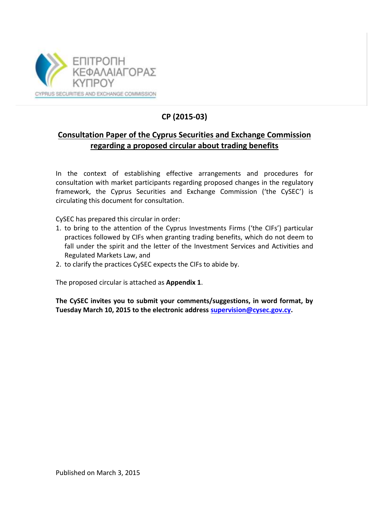

# **CP (2015-03)**

## **Consultation Paper of the Cyprus Securities and Exchange Commission regarding a proposed circular about trading benefits**

In the context of establishing effective arrangements and procedures for consultation with market participants regarding proposed changes in the regulatory framework, the Cyprus Securities and Exchange Commission ('the CySEC') is circulating this document for consultation.

CySEC has prepared this circular in order:

- 1. to bring to the attention of the Cyprus Investments Firms ('the CIFs') particular practices followed by CIFs when granting trading benefits, which do not deem to fall under the spirit and the letter of the Investment Services and Activities and Regulated Markets Law, and
- 2. to clarify the practices CySEC expects the CIFs to abide by.

The proposed circular is attached as **Appendix 1**.

**The CySEC invites you to submit your comments/suggestions, in word format, by Tuesday March 10, 2015 to the electronic address [supervision@cysec.gov.cy.](mailto:supervision@cysec.gov.cy)**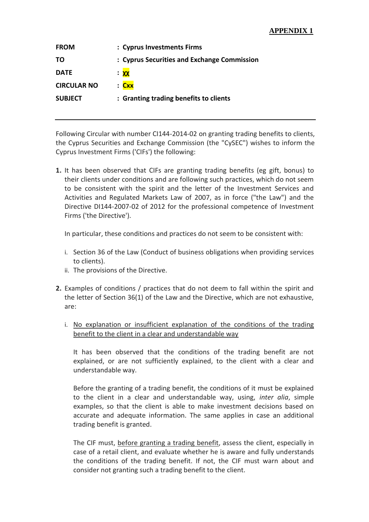## **APPENDIX 1**

| <b>FROM</b>        | : Cyprus Investments Firms                  |
|--------------------|---------------------------------------------|
| TΟ                 | : Cyprus Securities and Exchange Commission |
| <b>DATE</b>        | <mark>χχ</mark>                             |
| <b>CIRCULAR NO</b> | : Cxx                                       |
| <b>SUBJECT</b>     | : Granting trading benefits to clients      |
|                    |                                             |

Following Circular with number CI144-2014-02 on granting trading benefits to clients, the Cyprus Securities and Exchange Commission (the "CySEC") wishes to inform the Cyprus Investment Firms ('CIFs') the following:

**1.** It has been observed that CIFs are granting trading benefits (eg gift, bonus) to their clients under conditions and are following such practices, which do not seem to be consistent with the spirit and the letter of the Investment Services and Activities and Regulated Markets Law of 2007, as in force ("the Law") and the Directive DI144-2007-02 of 2012 for the professional competence of Investment Firms ('the Directive').

In particular, these conditions and practices do not seem to be consistent with:

- i. Section 36 of the Law (Conduct of business obligations when providing services to clients).
- ii. The provisions of the Directive.
- **2.** Examples of conditions / practices that do not deem to fall within the spirit and the letter of Section 36(1) of the Law and the Directive, which are not exhaustive, are:
	- i. No explanation or insufficient explanation of the conditions of the trading benefit to the client in a clear and understandable way

It has been observed that the conditions of the trading benefit are not explained, or are not sufficiently explained, to the client with a clear and understandable way.

Before the granting of a trading benefit, the conditions of it must be explained to the client in a clear and understandable way, using, *inter alia*, simple examples, so that the client is able to make investment decisions based on accurate and adequate information. The same applies in case an additional trading benefit is granted.

The CIF must, before granting a trading benefit, assess the client, especially in case of a retail client, and evaluate whether he is aware and fully understands the conditions of the trading benefit. If not, the CIF must warn about and consider not granting such a trading benefit to the client.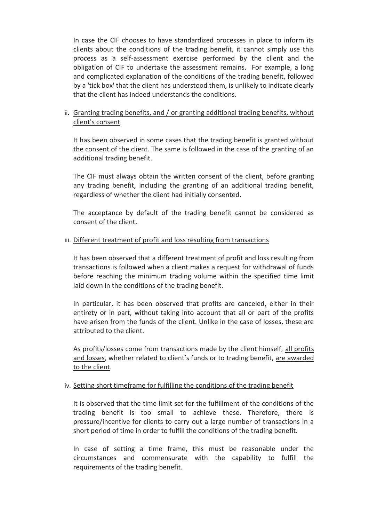In case the CIF chooses to have standardized processes in place to inform its clients about the conditions of the trading benefit, it cannot simply use this process as a self-assessment exercise performed by the client and the obligation of CIF to undertake the assessment remains. For example, a long and complicated explanation of the conditions of the trading benefit, followed by a 'tick box' that the client has understood them, is unlikely to indicate clearly that the client has indeed understands the conditions.

## ii. Granting trading benefits, and / or granting additional trading benefits, without client's consent

It has been observed in some cases that the trading benefit is granted without the consent of the client. The same is followed in the case of the granting of an additional trading benefit.

The CIF must always obtain the written consent of the client, before granting any trading benefit, including the granting of an additional trading benefit, regardless of whether the client had initially consented.

The acceptance by default of the trading benefit cannot be considered as consent of the client.

#### iii. Different treatment of profit and loss resulting from transactions

It has been observed that a different treatment of profit and loss resulting from transactions is followed when a client makes a request for withdrawal of funds before reaching the minimum trading volume within the specified time limit laid down in the conditions of the trading benefit.

In particular, it has been observed that profits are canceled, either in their entirety or in part, without taking into account that all or part of the profits have arisen from the funds of the client. Unlike in the case of losses, these are attributed to the client.

As profits/losses come from transactions made by the client himself, all profits and losses, whether related to client's funds or to trading benefit, are awarded to the client.

#### iv. Setting short timeframe for fulfilling the conditions of the trading benefit

It is observed that the time limit set for the fulfillment of the conditions of the trading benefit is too small to achieve these. Therefore, there is pressure/incentive for clients to carry out a large number of transactions in a short period of time in order to fulfill the conditions of the trading benefit.

In case of setting a time frame, this must be reasonable under the circumstances and commensurate with the capability to fulfill the requirements of the trading benefit.